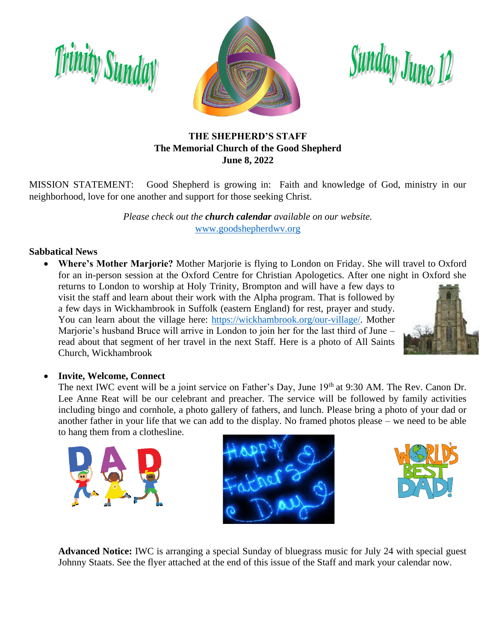



Sunday June 12

#### **THE SHEPHERD'S STAFF The Memorial Church of the Good Shepherd June 8, 2022**

MISSION STATEMENT: Good Shepherd is growing in: Faith and knowledge of God, ministry in our neighborhood, love for one another and support for those seeking Christ.

> *Please check out the church calendar available on our website.* [www.goodshepherdwv.org](http://www.goodshepherdwv.org/)

#### **Sabbatical News**

• **Where's Mother Marjorie?** Mother Marjorie is flying to London on Friday. She will travel to Oxford for an in-person session at the Oxford Centre for Christian Apologetics. After one night in Oxford she

returns to London to worship at Holy Trinity, Brompton and will have a few days to visit the staff and learn about their work with the Alpha program. That is followed by a few days in Wickhambrook in Suffolk (eastern England) for rest, prayer and study. You can learn about the village here: [https://wickhambrook.org/our-village/.](https://wickhambrook.org/our-village/) Mother Marjorie's husband Bruce will arrive in London to join her for the last third of June – read about that segment of her travel in the next Staff. Here is a photo of All Saints Church, Wickhambrook



#### • **Invite, Welcome, Connect**

The next IWC event will be a joint service on Father's Day, June 19<sup>th</sup> at 9:30 AM. The Rev. Canon Dr. Lee Anne Reat will be our celebrant and preacher. The service will be followed by family activities including bingo and cornhole, a photo gallery of fathers, and lunch. Please bring a photo of your dad or another father in your life that we can add to the display. No framed photos please – we need to be able to hang them from a clothesline.







**Advanced Notice:** IWC is arranging a special Sunday of bluegrass music for July 24 with special guest Johnny Staats. See the flyer attached at the end of this issue of the Staff and mark your calendar now.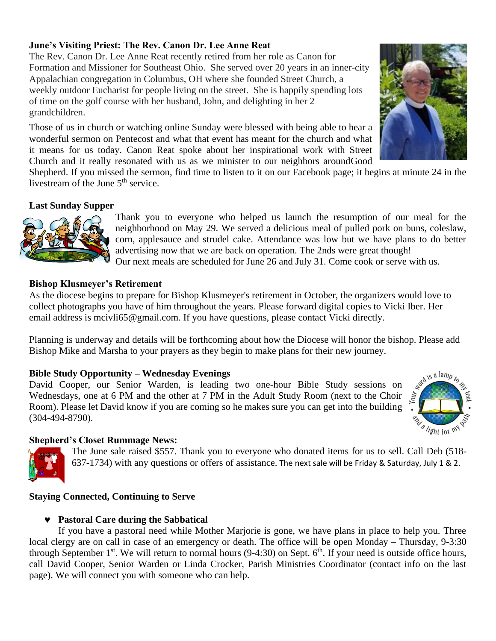#### **June's Visiting Priest: The Rev. Canon Dr. Lee Anne Reat**

The Rev. Canon Dr. Lee Anne Reat recently retired from her role as Canon for Formation and Missioner for Southeast Ohio. She served over 20 years in an inner-city Appalachian congregation in Columbus, OH where she founded Street Church, a weekly outdoor Eucharist for people living on the street. She is happily spending lots of time on the golf course with her husband, John, and delighting in her 2 grandchildren.

Those of us in church or watching online Sunday were blessed with being able to hear a wonderful sermon on Pentecost and what that event has meant for the church and what it means for us today. Canon Reat spoke about her inspirational work with Street Church and it really resonated with us as we minister to our neighbors aroundGood

Shepherd. If you missed the sermon, find time to listen to it on our Facebook page; it begins at minute 24 in the livestream of the June 5<sup>th</sup> service.

#### **Last Sunday Supper**



Thank you to everyone who helped us launch the resumption of our meal for the neighborhood on May 29. We served a delicious meal of pulled pork on buns, coleslaw, corn, applesauce and strudel cake. Attendance was low but we have plans to do better advertising now that we are back on operation. The 2nds were great though! Our next meals are scheduled for June 26 and July 31. Come cook or serve with us.

#### **Bishop Klusmeyer's Retirement**

As the diocese begins to prepare for Bishop Klusmeyer's retirement in October, the organizers would love to collect photographs you have of him throughout the years. Please forward digital copies to Vicki Iber. Her email address is mcivli65@gmail.com. If you have questions, please contact Vicki directly.

Planning is underway and details will be forthcoming about how the Diocese will honor the bishop. Please add Bishop Mike and Marsha to your prayers as they begin to make plans for their new journey.

#### **Bible Study Opportunity – Wednesday Evenings**

David Cooper, our Senior Warden, is leading two one-hour Bible Study sessions on Wednesdays, one at 6 PM and the other at 7 PM in the Adult Study Room (next to the Choir Room). Please let David know if you are coming so he makes sure you can get into the building (304-494-8790).

#### **Shepherd's Closet Rummage News:**

The June sale raised \$557. Thank you to everyone who donated items for us to sell. Call Deb (518- 637-1734) with any questions or offers of assistance. The next sale will be Friday & Saturday, July 1 & 2.

#### **Staying Connected, Continuing to Serve**

#### **Pastoral Care during the Sabbatical**

If you have a pastoral need while Mother Marjorie is gone, we have plans in place to help you. Three local clergy are on call in case of an emergency or death. The office will be open Monday – Thursday, 9-3:30 through September  $1^{st}$ . We will return to normal hours (9-4:30) on Sept.  $6^{th}$ . If your need is outside office hours, call David Cooper, Senior Warden or Linda Crocker, Parish Ministries Coordinator (contact info on the last page). We will connect you with someone who can help.



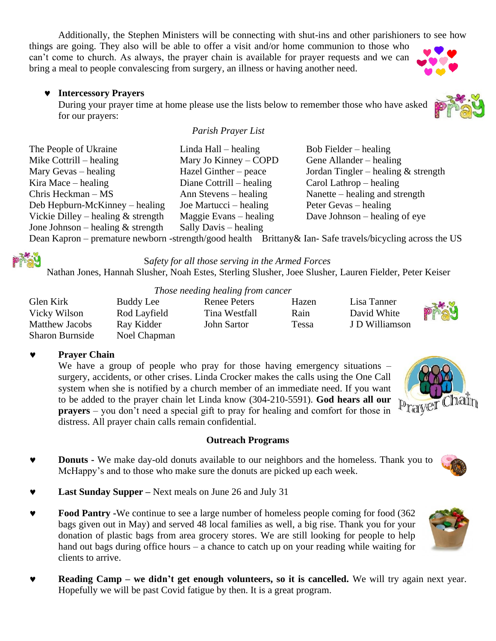Additionally, the Stephen Ministers will be connecting with shut-ins and other parishioners to see how

things are going. They also will be able to offer a visit and/or home communion to those who can't come to church. As always, the prayer chain is available for prayer requests and we can bring a meal to people convalescing from surgery, an illness or having another need.

#### **Intercessory Prayers**

During your prayer time at home please use the lists below to remember those who have asked for our prayers:

#### *Parish Prayer List*

| The People of Ukraine                | Linda Hall $-$ healing                                                            | Bob Fielder $-$ healing                                                                                                                                                                                                                                                                                                                                                    |
|--------------------------------------|-----------------------------------------------------------------------------------|----------------------------------------------------------------------------------------------------------------------------------------------------------------------------------------------------------------------------------------------------------------------------------------------------------------------------------------------------------------------------|
| Mike Cottrill – healing              | Mary Jo Kinney – COPD                                                             | Gene Allander – healing                                                                                                                                                                                                                                                                                                                                                    |
| Mary Gevas $-$ healing               | Hazel Ginther – peace                                                             | Jordan Tingler – healing $&$ strength                                                                                                                                                                                                                                                                                                                                      |
| Kira Mace $-$ healing                | Diane Cottrill $-$ healing                                                        | Carol Lathrop $-$ healing                                                                                                                                                                                                                                                                                                                                                  |
| Chris Heckman $- MS$                 | Ann Stevens – healing                                                             | Nanette – healing and strength                                                                                                                                                                                                                                                                                                                                             |
| Deb Hepburn-McKinney – healing       | Joe Martucci $-$ healing                                                          | Peter Gevas – healing                                                                                                                                                                                                                                                                                                                                                      |
| Vickie Dilley – healing $&$ strength | Maggie Evans – healing                                                            | Dave Johnson $-$ healing of eye                                                                                                                                                                                                                                                                                                                                            |
| Jone Johnson – healing $&$ strength  | Sally Davis – healing                                                             |                                                                                                                                                                                                                                                                                                                                                                            |
|                                      | $\mathbf{r} = \mathbf{r} + \mathbf{r}$ and $\mathbf{r} = \mathbf{r} + \mathbf{r}$ | $\mathbf{H} = \mathbf{H} \mathbf{H}$<br>$\mathbf{A}$ $\mathbf{A}$ $\mathbf{A}$ $\mathbf{A}$ $\mathbf{A}$ $\mathbf{A}$ $\mathbf{A}$ $\mathbf{A}$ $\mathbf{A}$ $\mathbf{A}$ $\mathbf{A}$ $\mathbf{A}$ $\mathbf{A}$ $\mathbf{A}$ $\mathbf{A}$ $\mathbf{A}$ $\mathbf{A}$ $\mathbf{A}$ $\mathbf{A}$ $\mathbf{A}$ $\mathbf{A}$ $\mathbf{A}$ $\mathbf{A}$ $\mathbf{A}$ $\mathbf{$ |

Dean Kapron – premature newborn -strength/good health Brittany & Ian-Safe travels/bicycling across the US



S*afety for all those serving in the Armed Forces*

Nathan Jones, Hannah Slusher, Noah Estes, Sterling Slusher, Joee Slusher, Lauren Fielder, Peter Keiser

|                        |              | Those necume neutring from cuncer |       |                |      |
|------------------------|--------------|-----------------------------------|-------|----------------|------|
| Glen Kirk              | Buddy Lee    | Renee Peters                      | Hazen | Lisa Tanner    |      |
| Vicky Wilson           | Rod Layfield | Tina Westfall                     | Rain  | David White    | PIAU |
| <b>Matthew Jacobs</b>  | Ray Kidder   | John Sartor                       | Tessa | J D Williamson |      |
| <b>Sharon Burnside</b> | Noel Chapman |                                   |       |                |      |

#### **Prayer Chain**

We have a group of people who pray for those having emergency situations – surgery, accidents, or other crises. Linda Crocker makes the calls using the One Call system when she is notified by a church member of an immediate need. If you want to be added to the prayer chain let Linda know (304-210-5591). **God hears all our prayers** – you don't need a special gift to pray for healing and comfort for those in distress. All prayer chain calls remain confidential.

#### **Outreach Programs**

- **Donuts -** We make day-old donuts available to our neighbors and the homeless. Thank you to McHappy's and to those who make sure the donuts are picked up each week.
- **Last Sunday Supper –** Next meals on June 26 and July 31
- **Food Pantry -**We continue to see a large number of homeless people coming for food (362) bags given out in May) and served 48 local families as well, a big rise. Thank you for your donation of plastic bags from area grocery stores. We are still looking for people to help hand out bags during office hours – a chance to catch up on your reading while waiting for clients to arrive.
- **Reading Camp – we didn't get enough volunteers, so it is cancelled.** We will try again next year. Hopefully we will be past Covid fatigue by then. It is a great program.











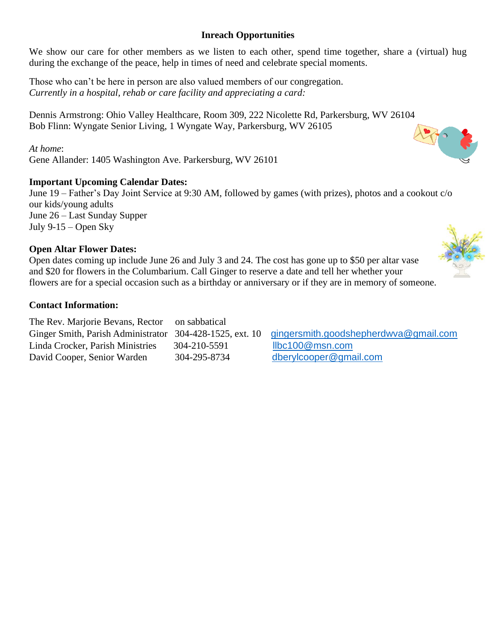#### **Inreach Opportunities**

We show our care for other members as we listen to each other, spend time together, share a (virtual) hug during the exchange of the peace, help in times of need and celebrate special moments.

Those who can't be here in person are also valued members of our congregation. *Currently in a hospital, rehab or care facility and appreciating a card:*

Dennis Armstrong: Ohio Valley Healthcare, Room 309, 222 Nicolette Rd, Parkersburg, WV 26104 Bob Flinn: Wyngate Senior Living, 1 Wyngate Way, Parkersburg, WV 26105

*At home*: Gene Allander: 1405 Washington Ave. Parkersburg, WV 26101

#### **Important Upcoming Calendar Dates:**

June 19 – Father's Day Joint Service at 9:30 AM, followed by games (with prizes), photos and a cookout c/o our kids/young adults June 26 – Last Sunday Supper July 9-15 – Open Sky

#### **Open Altar Flower Dates:**

Open dates coming up include June 26 and July 3 and 24. The cost has gone up to \$50 per altar vase and \$20 for flowers in the Columbarium. Call Ginger to reserve a date and tell her whether your flowers are for a special occasion such as a birthday or anniversary or if they are in memory of someone.

#### **Contact Information:**

The Rev. Marjorie Bevans, Rector on sabbatical Ginger Smith, Parish Administrator 304-428-1525, ext. 10 [gingersmith.goodshepherdwva@gmail.com](mailto:gingersmith.goodshepherdwva@gmail.com) Linda Crocker, Parish Ministries 304-210-5591 [llbc100@msn.com](mailto:llbc100@msn.com) David Cooper, Senior Warden 304-295-8734 [dberylcooper@gmail.com](mailto:dberylcooper@gmail.com)